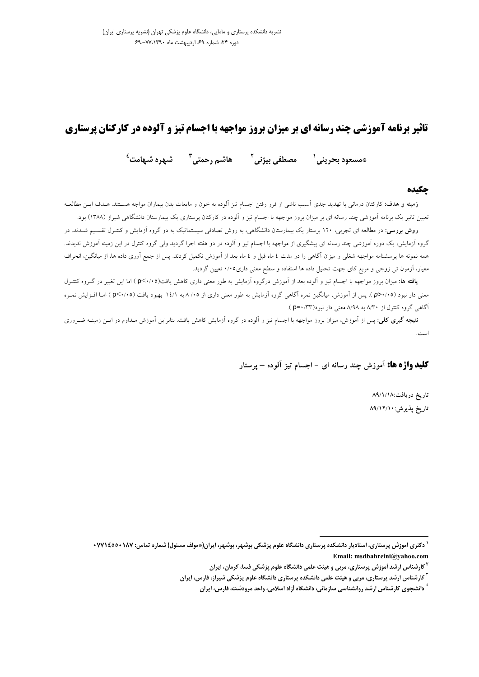# **تاثیر برنامه آموزشی چند رسانه ای بر میزان بروز مواجهه با اجسام تیز و آلوده در کارکنان پرستاری**

هاشم رحمتي<sup>7</sup> مشهره شبهامت<sup>ء</sup>ُ \*مسعود بحريني<sup>י</sup> مصطفى بيژني<sup>۲</sup>

### حكىده

**زمینه و هدف**: کارکنان درمانی با تهدید جدی اسیب ناشی از فرو رفتن اجسام تیز الوده به خون و مایعات بدن بیماران مواجه هستند. هـدف ایــن مطالعــه تعیین تاثیر یک برنامه آموزشی چند رسانه ای بر میزان بروز مواجهه با اجسام تیز و آلوده در کارکنان پرستاری یک بیمارستان دانشگاهی شیراز (۱۳۸۸) بود.

**روش بررسی:** در مطالعه ای تجربی، ۱۲۰ پرستار یک بیمارستان دانشگاهی، به روش تصادفی سیستماتیک به دو گروه آزمایش و کنتـرل تقسـیم شــدند. در گروه اَزمایش، یک دوره اَموزشی چند رسانه ای پیشگیری از مواجهه با اجسام تیز و اَلوده در دو هفته اجرا گردید ولی گروه کنترل در این زمینه اَموزش ندیدند. همه نمونه ها پرسشنامه مواجهه شغلی و میزان آگاهی را در مدت ٤ ماه قبل و ٤ ماه بعد از آموزش تکمیل کردند. پس از جمع آوری داده ها، از میانگین، انحراف معیار، آزمون تبی زوجی و مربع کای جهت تحلیل داده ها استفاده و سطح معنی داری۰٬۰۵ تعیین گردید.

**یافته ها:** میزان بروز مواجهه با اجسام تیز و آلوده بعد از آموزش درگروه آزمایش به طور معنی داری کاهش یافت(۲۰/۰۵) اما این تغییر در گـروه کنتـرل معنی دار نبود (۶۰/۰۵). پس از آموزش، میانگین نمره آگاهی گروه آزمایش به طور معنی داری از ۸/۰۵ به ۱٤/۱ بهبود یافت (۴/۰/۰۵) امـا افـزایش نمـره آگاهی گروه کنترل از ۸/۳۰ به ۸/۹۸ معنی دار نبود(p=۰/۳۳).

**نتیجه گیری کلی**: پس از آموزش، میزان بروز مواجهه با اجسام تیز و آلوده در گروه آزمایش کاهش یافت. بنابراین آموزش مـداوم در ایــن زمینــه ضــروری است.

**کلید واژه ها:** آموزش چند رسانه ای – اجسام تیز آلوده – پرستار

تاریخ دریافت:۱۸/۱/۱۸ تاريخ پذيرش:١٢/١٠/ ٨٩

<sup>`</sup> دکتری آموزش پرستاری، استادیار دانشکده پرستاری دانشگاه علوم پزشکی بوشهر، بوشهر، ایران(\*مولف مسئول) شماره تماس: ۰۷۷۱۶۵۰۰۱۷۷ Email: msdbahreini@yahoo.com

<sup>&</sup>lt;sup>۲</sup> کارشناس ارشد اَموزش پرستاری، مربی و هیئت علمی دانشگاه علوم پزشکی فسا، کرمان، ایران

<sup>&</sup>lt;sup>۲</sup> کارشناس ارشد پرستاری، مربی و هیئت علمی دانشکده پرستاری دانشگاه علوم پزشکی شیراز، فارس، ایران

<sup>ٔ</sup> دانشجوی کارشناس ارشد روانشناسی سازمانی، دانشگاه اَزاد اسلامی، واحد مرودشت، فارس، ایران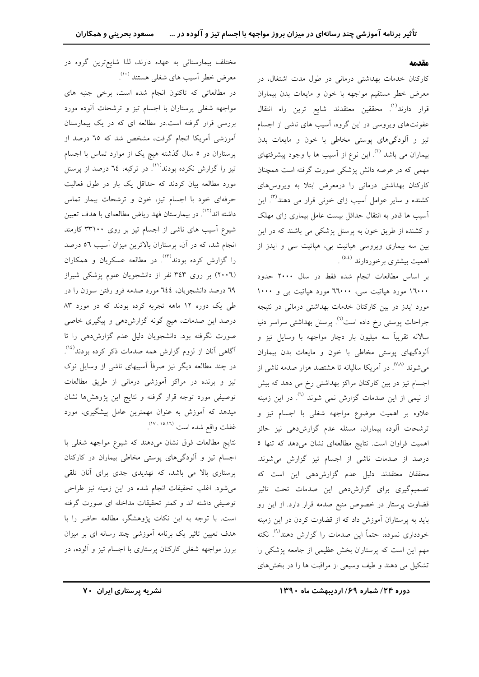#### مقدمه

کارکنان خدمات بهداشتی درمانی در طول مدت اشتغال، در معرض خطر مستقيم مواجهه با خون و مايعات بدن بيماران قرار دارند<sup>(۱)</sup>. محققین معتقدند شایع ترین راه انتقال عفونتهای ویروسی در این گروه، آسیب های ناشی از اجسام تیز و آلودگیهای پوستی مخاطی با خون و مایعات بدن بیماران می باشد <sup>(۲)</sup>. این نوع از آسیب ها با وجود پیشرفتهای مهمی که در عرصه دانش پزشکی صورت گرفته است همچنان کارکنان بهداشتی درمانی را درمعرض ابتلا به ویروس های کشنده و سایر عوامل اَسیب زای خونی قرار می دهند<sup>(۳)</sup>. این اَسیب ها قادر به انتقال حداقل بیست عامل بیماری زای مهلک و کشنده از طریق خون به پرسنل پزشکی می باشند که در این بین سه بیماری ویروسی هپاتیت بی، هپاتیت سی و ایدز از اهمیت بیشتری برخوردارند <sup>(٥.٤)</sup> .

بر اساس مطالعات انجام شده فقط در سال ۲۰۰۰ حدود ۱٦۰۰۰ مورد هپاتیت سی، ٦٦٠٠۰ مورد هپاتیت بی و ۱۰۰۰ مورد ایدز در بین کارکنان خدمات بهداشتی درمانی در نتیجه جراحات پوستی رخ داده است<sup>(٦)</sup>. پرسنل بهداشتی سراسر دنیا سالانه تقریباً سه میلیون بار دچار مواجهه با وسایل تیز و آلودگیهای یوستی مخاطی با خون و مایعات بدن بیماران می شوند <sup>(۷۸</sup>). در آمریکا سالیانه تا هشتصد هزار صدمه ناشی از اجسام تیز در بین کارکنان مراکز بهداشتی رخ می دهد که بیش از نیمی از این صدمات گزارش نمی شوند <sup>(٦)</sup>. در این زمینه علاوه بر اهميت موضوع مواجهه شغلي با اجسام تيز و ترشحات آلوده بیماران، مسئله عدم گزارش،هی نیز حائز اهمیت فراوان است. نتایج مطالعهای نشان میدهد که تنها ٥ درصد از صدمات ناشی از اجسام تیز گزارش می شوند. محققان معتقدند دلیل عدم گزارشردهی این است که تصمیمگیری برای گزارشدهی این صدمات تحت تاثیر قضاوت پرستار در خصوص منبع صدمه قرار دارد. از این رو باید به پرستاران آموزش داد که از قضاوت کردن در این زمینه خودداری نموده، حتماً این صدمات را گزارش دهند<sup>۹)</sup>. نکته مهم این است که پرستاران بخش عظیمی از جامعه پزشکی را تشکیل می دهند و طیف وسیعی از مراقبت ها را در بخشهای

مختلف بیمارستانی به عهده دارند، لذا شایعترین گروه در معرض خطر آسیب های شغلی هستند (۱۰) در مطالعاتی که تاکنون انجام شده است، برخی جنبه های مواجهه شغلی پرستاران با اجسام تیز و ترشحات آلوده مورد

بررسی قرار گرفته است.در مطالعه ای که در یک بیمارستان آموزشی آمریکا انجام گرفت، مشخص شد که ٦٥ درصد از پرستاران در ٥ سال گذشته هیچ یک از موارد تماس با اجسام تیز را گزارش نکرده بودند<sup>(۱۱)</sup>. در ترکیه، **۲**۵ درصد از پرسنل مورد مطالعه بیان کردند که حداقل یک بار در طول فعالیت حرفهای خود با اجسام تیز، خون و ترشحات بیمار تماس داشته اند<sup>(۱۲)</sup>. در بیمارستان فهد ریاض مطالعهای با هدف تعیین شیوع آسیب های ناشی از اجسام تیز بر روی ۳۳۱۰۰ کارمند انجام شد، که در آن، پرستاران بالاترین میزان آسیب ٥٦ درصد را گزارش کرده بودند<sup>(۱۳)</sup>. در مطالعه عسکریان و همکاران (٢٠٠٦) بر روی ٣٤٣ نفر از دانشجویان علوم پزشکی شیراز ٦٩ درصد دانشجويان، ٢٤٤ مورد صدمه فرو رفتن سوزن را در طی یک دوره ۱۲ ماهه تجربه کرده بودند که در مورد ۸۳ درصد این صدمات، هیچ گونه گزارشدهی و پیگیری خاصی صورت نگرفته بود. دانشجویان دلیل عدم گزارش،هی را تا اًگاهی آنان از لزوم گزارش همه صدمات ذکر کرده بودند<sup>(۱۶)</sup>. در چند مطالعه دیگر نیز صرفاً آسییهای ناشی از وسایل نوک تیز و برنده در مراکز آموزشی درمانی از طریق مطالعات توصیفی مورد توجه قرار گرفته و نتایج این پژوهشها نشان میدهد که آموزش به عنوان مهمترین عامل پیشگیری، مورد غفلت واقع شده است (١٥،١٦).

نتايج مطالعات فوق نشان مىدهند كه شيوع مواجهه شغلى با اجسام تیز و آلودگیهای پوستی مخاطی بیماران در کارکنان پرستاری بالا می باشد، که تهدیدی جدی برای آنان تلقی می شود. اغلب تحقیقات انجام شده در این زمینه نیز طراحی توصیفی داشته اند و کمتر تحقیقات مداخله ای صورت گرفته است. با توجه به این نکات پژوهشگر، مطالعه حاضر را با هدف تعیین تاثیر یک برنامه آموزشی چند رسانه ای بر میزان بروز مواجهه شغلی کارکنان پرستاری با اجسام تیز و آلوده، در

دوره ۲۴/ شماره ۶۹/ اردیبهشت ماه ۱۳۹۰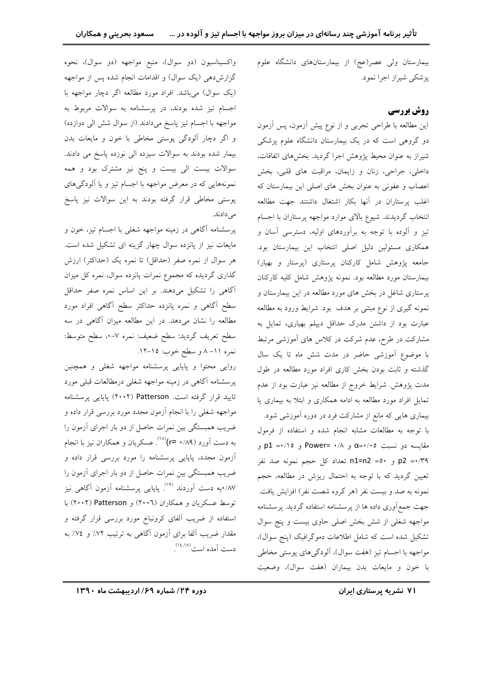بیمارستان ولی عصر(عج) از بیمارستانهای دانشگاه علوم یز شکی شیراز اجرا نمود.

# روش بررسي

این مطالعه با طراحی تجربی و از نوع پیش آزمون، پس آزمون دو گروهی است که در یک بیمارستان دانشگاه علوم پزشکی شیراز به عنوان محیط پژوهش اجرا گردید. بخشهای اتفاقات، داخلي، جراحي، زنان و زايمان، مراقبت هاي قلبي، بخش اعصاب و عفونی به عنوان بخش های اصلی این بیمارستان که اغلب پرستاران در آنها بكار اشتغال داشتند جهت مطالعه انتخاب گردیدند. شیوع بالای موارد مواجهه پرستاران با اجسام تیز و آلوده با توجه به برآوردهای اولیه، دسترسی آسان و همکاری مسئولین دلیل اصلی انتخاب این بیمارستان بود. جامعه پژوهش شامل کارکنان پرستاری (پرستار و بهیار) بيمارستان مورد مطالعه بود. نمونه پژوهش شامل كليه كاركنان پرستاری شاغل در بخش های مورد مطالعه در این بیمارستان و نمونه گیری از نوع مبتنی بر هدف بود. شرایط ورود به مطالعه عبارت بود از داشتن مدرک حداقل دییلم بهپاری، تمایل به مشارکت در طرح، عدم شرکت در کلاس های آموزشی مرتبط با موضوع آموزشی حاضر در مدت شش ماه تا یک سال گذشته و ثابت بودن بخش کاری افراد مورد مطالعه در طول مدت پژوهش. شرایط خروج از مطالعه نیز عبارت بود از عدم تمایل افراد مورد مطالعه به ادامه همکاری و ابتلا به بیماری یا بیماری هایی که مانع از مشارکت فرد در دوره آموزشی شود. با توجه به مطالعات مشابه انجام شده و استفاده از فرمول مقایسه دو نسبت α÷۰/۰۵ و Power= ۰/۸ و p1 ÷۰۱۵ و p2 = ·/٣٩ و ٥٠= n1=n2 تعداد كل حجم نمونه صد نفر تعیین گردید که با توجه به احتمال ریزش در مطالعه، حجم نمونه به صد و بیست نفر (هر گروه شصت نفر) افزایش یافت. جهت جمع آوری داده ها از پرسشنامه استفاده گردید. پرسشنامه مواجهه شغلی از شش بخش اصلی حاوی بیست و پنج سوال تشکیل شده است که شامل اطلاعات دموگرافیک (پنج سوال)، مواجهه با اجسام تیز (هفت سوال)، آلودگیهای پوستی مخاطی با خون و مايعات بدن بيماران (هفت سوال)، وضعيت

واکسیناسیون (دو سوال)، منبع مواجهه (دو سوال)، نحوه گزارش دهی (یک سوال) و اقدامات انجام شده پس از مواجهه (یک سوال) می باشد. افراد مورد مطالعه اگر دچار مواجهه با اجسام تیز شده بودند، در پرسشنامه به سوالات مربوط به مواجهه با اجسام تيز پاسخ ميدادند (از سوال شش الي دوازده) و اگر دچار آلودگی پوستی مخاطی با خون و مایعات بدن بیمار شده بودند به سوالات سیزده الی نوزده پاسخ می دادند. سوالات بیست الی بیست و پنج نیز مشترک بود و همه نمونههایی که در معرض مواجهه با اجسام تیز و یا آلودگ<sub>ی</sub>های پوستی مخاطی قرار گرفته بودند به این سوالات نیز پاسخ مى دادند.

پرسشنامه آگاهی در زمینه مواجهه شغلی با اجسام تیز، خون و مایعات نیز از پانزده سوال چهار گزینه ای تشکیل شده است. هر سوال از نمره صفر (حداقل) تا نمره یک (حداکثر) ارزش گذاری گردیده که مجموع نمرات پانزده سوال، نمره کل میزان آگاهی را تشکیل میدهند. بر این اساس نمره صفر حداقل سطح آگاهی و نمره پانزده حداکثر سطح آگاهی افراد مورد مطالعه را نشان میدهد. در این مطالعه میزان آگاهی در سه سطح تعريف گرديد: سطح ضعيف: نمره ٧-٠، سطح متوسط: نمره ١١-٨ و سطح خوب: ١٥-١٢.

روایی محتوا و پایایی پرسشنامه مواجهه شغلی و همچنین پرسشنامه آگاهی در زمینه مواجهه شغلی درمطالعات قبلی مورد تایید قرار گرفته است. Patterson (۲۰۰۲) پایایی پرسشنامه مواجهه شغلی را با انجام آزمون مجدد مورد بررسی قرار داده و ضریب همبستگی بین نمرات حاصل از دو بار اجرای آزمون را به دست اَورد (۰/۸۹–r=)<sup>(۱۸)</sup>. عسکریان و همکاران نیز با انجام آزمون مجدد، پایایی پرسشنامه را مورد بررسی قرار داده و ضریب همبستگی بین نمرات حاصل از دو بار اجرای آزمون را ۰/۸۷به دست آوردند <sup>(۱۹</sup>) یاپای<sub>ی</sub> پرسشنامه آزمون آگاهی نیز توسط عسكريان و همكاران (٢٠٠٦) و Patterson (٢٠٠٢) با استفاده از ضریب آلفای کرونباخ مورد بررسی قرار گرفته و مقدار ضریب آلفا برای آزمون آگاهی به ترتیب ۷۲٪ و ۷٤٪ به دست آمده است<sup>(۱٤٬۱۸</sup>).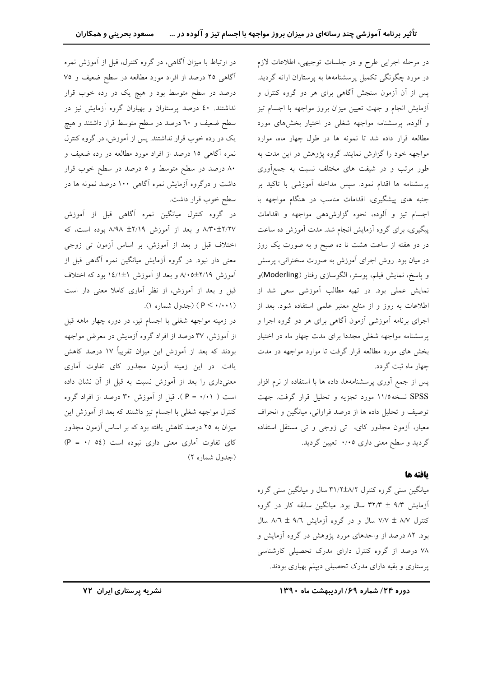در مرحله اجرایی طرح و در جلسات توجیهی، اطلاعات لازم در مورد چگونگی تکمیل پرسشنامهها به پرستاران ارائه گردید. یس از آن آزمون سنجش آگاهی برای هر دو گروه کنترل و أزمايش انجام و جهت تعيين ميزان بروز مواجهه با اجسام تيز و آلوده، پرسشنامه مواجهه شغلی در اختیار بخشهای مورد مطالعه قرار داده شد تا نمونه ها در طول چهار ماه، موارد مواجهه خود را گزارش نمایند. گروه پژوهش در این مدت به طور مرتب و در شیفت های مختلف نسبت به جمعآوری پرسشنامه ها اقدام نمود. سپس مداخله آموزشی با تاکید بر جنبه های پیشگیری، اقدامات مناسب در هنگام مواجهه با اجسام تيز و آلوده، نحوه گزارش،دهي مواجهه و اقدامات پیگیری، برای گروه آزمایش انجام شد. مدت اَموزش ده ساعت در دو هفته از ساعت هشت تا ده صبح و به صورت یک روز در میان بود. روش اجرای آموزش به صورت سخنرانی، پرسش و پاسخ، نمایش فیلم، پوستر، الگوسازی رفتار (Moderling)و .<br>نمایش عملی بود. در تهیه مطالب آموزشی سعی شد از اطلاعات به روز و از منابع معتبر علمی استفاده شود. بعد از اجرای برنامه آموزشی آزمون آگاهی برای هر دو گروه اجرا و پرسشنامه مواجهه شغلی مجددا برای مدت چهار ماه در اختیار بخش های مورد مطالعه قرار گرفت تا موارد مواجهه در مدت چهار ماه ثبت گردد.

پس از جمع أوري پرسشنامهها، داده ها با استفاده از نرم افزار SPSS نسخه ۱۱/۵ مورد تجزیه و تحلیل قرار گرفت. جهت توصيف و تحليل داده ها از درصد فراواني، ميانگين و انحراف معیار، آزمون مجذور کای، تی زوجی و تی مستقل استفاده گردید و سطح معنی داری ۰/۰۵ تعیین گردید.

# يافته ها

میانگین سنی گروه کنترل ۳۱/۲±۸/۲ سال و میانگین سنی گروه آزمایش ۹/۳ ± ۳۲/۳ سال بود. میانگین سابقه کار در گروه کنترل ۸/۷ ± ۷/۷ سال و در گروه آزمایش ۹/٦ ± ۸/٦ سال بود. ۸۲ درصد از واحدهای مورد یژوهش در گروه آزمایش و ۷۸ درصد از گروه کنترل دارای مدرک تحصیلی کارشناسی پرستاری و بقیه دارای مدرک تحصیلی دیپلم بهیاری بودند.

در ارتباط با میزان آگاهی، در گروه کنترل، قبل از آموزش نمره اًگاهی ۲۵ درصد از افراد مورد مطالعه در سطح ضعیف و ۷۵ درصد در سطح متوسط بود و هیچ یک در رده خوب قرار نداشتند. ٤٠ درصد پرستاران و بهياران گروه آزمايش نيز در سطح ضعیف و ٦٠ درصد در سطح متوسط قرار داشتند و هیچ یک در رده خوب قرار نداشتند. پس از آموزش، در گروه کنترل نمره آگاهی ۱۵ درصد از افراد مورد مطالعه در رده ضعیف و ۸۰ درصد در سطح متوسط و ۵ درصد در سطح خوب قرار داشت و درگروه آزمایش نمره آگاهی ۱۰۰ درصد نمونه ها در سطح خوب قرار داشت.

در گروه کنترل میانگین نمره آگاهی قبل از آموزش ٨/٣٠±٢/٢٧ و بعد از آموزش ٢/١٩هـ ٨/٩٨ بوده است، كه اختلاف قبل و بعد از آموزش، بر اساس آزمون تبی زوجی معنی دار نبود. در گروه آزمایش میانگین نمره آگاهی قبل از اَموزش ۲/۱۹±۰۵/۵ و بعد از اَموزش ۱٤/۱±۱ بود که اختلاف قبل و بعد از آموزش، از نظر آماری کاملا معنی دار است (P < ./..) (جدول شماره ۱).

در زمینه مواجهه شغلی با اجسام تیز، در دوره چهار ماهه قبل از آموزش، ۳۷ درصد از افراد گروه آزمایش در معرض مواجهه بودند که بعد از آموزش این میزان تقریباً ۱۷ درصد کاهش یافت. در این زمینه آزمون مجذور کای تفاوت آماری معنیداری را بعد از آموزش نسبت به قبل از آن نشان داده است ( ۱۰/۰۱ = P). قبل از آموزش ۳۰ درصد از افراد گروه کنترل مواجهه شغلی با اجسام تیز داشتند که بعد از آموزش این میزان به ۲۵ درصد کاهش یافته بود که بر اساس آزمون مجذور کای تفاوت آماری معنی داری نبوده است (0٤ /٠ = P) (جدول شماره ۲)

دوره ۲۴/ شماره ۶۹/ اردیبهشت ماه ۱۳۹۰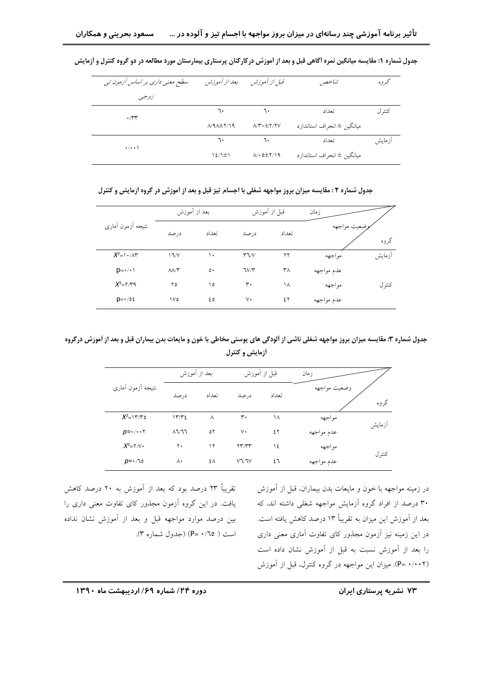| سطح معنی داری بر اساس آزمون تی | بعد از آموزش          | قبل از آموزش                                  | شانحص                      | گر و ه |
|--------------------------------|-----------------------|-----------------------------------------------|----------------------------|--------|
| زوجبي                          |                       |                                               |                            |        |
| $\cdot$                        | ٦٠                    | ٦٠                                            | تعداد                      | كنتر ل |
|                                | $A/4\lambda \pm 1/19$ | $\Lambda/\Upsilon\cdot\pm\Upsilon/\Upsilon V$ | ميانگين ± انحراف استاندارد |        |
| $\cdot/\cdot\cdot$             | ٦٠                    | ٦٠                                            | تعداد                      | ازمايش |
|                                | $12/1 \pm 1$          | $\Lambda/\cdot$ 0 $\pm$ $\Upsilon/\Omega$     | ميانگين ± انحراف استاندارد |        |

جدول شماره ۱: مقایسه میانگین نمره أگاهی قبل و بعد از اَموزش درکارکنان پرستاری بیمارستان مورد مطالعه در دو گروه کنترل و اَزمایش

جدول شماره ۲ : مقایسه میزان بروز مواجهه شغلی با اجسام تیز قبل و بعد از آموزش در گروه ازمایش و کنترل

|                                                         | بعد از أموزش              |               | قبل از أموزش |       | زمان        |        |
|---------------------------------------------------------|---------------------------|---------------|--------------|-------|-------------|--------|
| نتيجه أزمون أمارى                                       | در صد                     | تعداد         | در صد        | تعداد | ضعيت مواجهه | گروه   |
| $X^2 = \frac{1}{1} \cdot \frac{1}{1} \cdot \frac{1}{1}$ | 17/V                      | ١.            | $T\gamma V$  | ۲۲    | مواجهه      | أزمايش |
| $p = \cdot / \cdot$                                     | $\Lambda\Lambda/\Upsilon$ | $\circ \cdot$ | TV/Y         | ٣٨    | عدم مواجهه  |        |
| $X^2 = Y/Y$ ۹                                           | ۲٥                        | ۱٥            | ٣٠           | ۱۸    | مواجهه      | كنتر ل |
| $p = \cdot / \delta t$                                  | ١٧٥                       | ٤٥            | ٧٠           | ٤٢    | عدم مواجهه  |        |

جدول شماره ۳: مقایسه میزان بروز مواجهه شغلی ناشی از آلودگی های پوستی مخاطی با خون و مایعات بدن بیماران قبل و بعد از آموزش درگروه أزمايش و كنترل

|                                | بعد از أموزش   |       | قبل از أموزش                                 |       | زمان         |        |
|--------------------------------|----------------|-------|----------------------------------------------|-------|--------------|--------|
| نتيجه أزمون أمارى              | درصد           | تعداد | درصد                                         | تعداد | وضعيت مواجهه | گروه   |
| $X^2=117/T$                    | 1772           | Λ     | ٣٠                                           | ۱۸    | مواجهه       | ازمايش |
| $p = \cdot / \cdot \cdot \tau$ | $\lambda$ 1/11 | ٥٢    | ٧٠                                           | ٤٢    | عدم مواجهه   |        |
| $X^2 = Y/V$                    | ٢٠             | ۱۲    | $\mathsf{Y}\mathsf{Y}'\mathsf{Y}\mathsf{Y}'$ | ١٤    | مواجهه       |        |
| $p = \cdot 70$                 | ۸۰             | ٤٨    | VV/V                                         | ٤٦    | عدم مواجهه   | كنتر ل |

در زمینه مواجهه با خون و مایعات بدن بیماران، قبل از آموزش ۳۰ درصد از افراد گروه آزمایش مواجهه شغلی داشته اند، که بعد از آموزش این میزان به تقریباً ۱۳ درصد کاهش یافته است. در این زمینه نیز آزمون مجذور کای تفاوت آماری معنی داری را بعد از آموزش نسبت به قبل از آموزش نشان داده است (P= ٠/٠٠٢). ميزان اين مواجهه در گروه كنترل، قبل از آموزش

تقریباً ۲۳ درصد بود که بعد از آموزش به ۲۰ درصد کاهش یافت. در این گروه آزمون مجذور کای تفاوت معنی داری را بين درصد موارد مواجهه قبل و بعد از آموزش نشان نداده است ( P= ۰/٦٥) (جدول شماره ۳).

۷۳ نشریه پرستاری ایران

دوره ۲۴/ شماره ۶۹/ اردیبهشت ماه ۱۳۹۰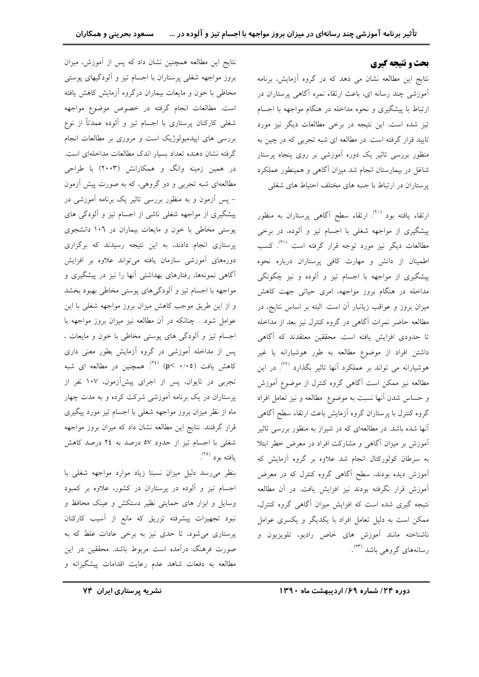# بحث و نتیجه گیری

نتايج اين مطالعه نشان مي دهد كه در گروه آزمايش، برنامه ۔<br>اَموزشی چند رسانه ای، باعث ارتقاء نمرہ اَگاهی پرستاران در ارتباط با پیشگیری و نحوه مداخله در هنگام مواجهه با اجسام تیز شده است. این نتیجه در برخی مطالعات دیگر نیز مورد تایید قرار گرفته است. در مطالعه ای شبه تجربی که در چین به منظور بررسی تاثیر یک دوره اَموزشی بر روی پنجاه پرستار شاغل در بیمارستان انجام شد میزان آگاهی و همینطور عملکرد پرستاران در ارتباط با جنبه های مختلف احتیاط های شغلی

ارتقاء یافته بود <sup>(۲۰)</sup>. ارتقاء سطح آگاه<sub>ی</sub> پرستاران به منظور پیشگیری از مواجهه شغلی با اجسام تیز و آلوده، در برخی مطالعات دیگر نیز مورد توجه قرار گرفته است <sup>(۳۱</sup>. کسب اطمینان از دانش و مهارت کافی پرستاران درباره نحوه پیشگیری از مواجهه با اجسام تیز و آلوده و نیز چگونگی مداخله در هنگام بروز مواجهه، امری حیاتی جهت کاهش میزان بروز و عواقب زیانبار آن است. البته بر اساس نتایج، در مطالعه حاضر نمرات آگاهی در گروه کنترل نیز بعد از مداخله تا حدودی افزایش یافته است. محققین معتقدند که آگاهی داشتن افراد از موضوع مطالعه به طور هوشیارانه یا غیر هوشیارانه می تواند بر عملکرد آنها تاثیر بگذارد <sup>(۲۲)</sup>. در این مطالعه نیز ممکن است آگاهی گروه کنترل از موضوع آموزش و حساس شدن آنها نسبت به موضوع مطالعه و نيز تعامل افراد گروه کنترل با پرستاران گروه آزمایش باعث ارتقاء سطح آگاهی ۔<br>آنها شده باشد. در مطالعهای که در شیراز به منظور بررسی تاثیر آموزش بر میزان آگاهی و مشارکت افراد در معرض خطر ابتلا به سرطان کولورکتال انجام شد علاوه بر گروه آزمایش که <mark>آموزش دیده بودند، سطح آگاهی گروه کنترل که در معرض</mark> آموزش قرار نگرفته بودند نيز افزايش يافت. در آن مطالعه نتیجه گیری شده است که افزایش میزان آگاهی گروه کنترل، ممکن است به دلیل تعامل افراد با یکدیگر و یکسری عوامل ناشناخته مانند آموزش های خاص رادیو، تلویزیون و رسانههای گروهی باشد <sup>(۲۳)</sup>.

نتايج اين مطالعه همچنين نشان داد كه پس از آموزش، ميزان بروز مواجهه شغلی پرستاران با اجسام تیز و آلودگیهای پوستی مخاطی با خون و مایعات بیماران درگروه آزمایش کاهش یافته است. مطالعات انجام گرفته در خصوص موضوع مواجهه شغلی کارکنان پرستاری با اجسام تیز و اَلوده عمدتاً از نوع بررسی های اپیدمیولوژیک است و مروری بر مطالعات انجام گرفته نشان دهنده تعداد بسیار اندک مطالعات مداخلهای است. در همین زمینه وانگ و همکارانش (۲۰۰۳) با طراحی مطالعهای شبه تجربی و دو گروهی، که به صورت پیش آزمون – پس آزمون و به منظور بررسی تاثیر یک برنامه آموزشی در پیشگیری از مواجهه شغلی ناشی از اجسام تیز و الودگی های پوستی مخاطی با خون و مایعات بیماران در ۱۰٦ دانشجوی پرستاری انجام دادند، به این نتیجه رسیدند که برگزاری دورههای آموزشی سازمان یافته میتواند علاوه بر افزایش آگاهی نمونهها، رفتارهای بهداشتی آنها را نیز در پیشگیری و مواجهه با اجسام تیز و آلودگیهای پوستی مخاطی بهبود بخشد و از این طریق موجب کاهش میزان بروز مواجهه شغلی با این عوامل شود. . چنانکه در آن مطالعه نیز میزان بروز مواجهه با اجسام تیز و آلودگی های پوستی مخاطی با خون و مایعات ، پس از مداخله آموزشی در گروه آزمایش بطور معنی داری کاهش یافت (۰/۰۵) (۲<sup>٤)</sup>. همچنین در مطالعه ای شبه تجربی در تایوان، پس از اجرای پیشآزمون، ۱۰۷ نفر از پرستاران در یک برنامه آموزشی شرکت کرده و به مدت چهار ماه از نظر میزان بروز مواجهه شغلی با اجسام تیز مورد پیگیری قرار گرفتند. نتایج این مطالعه نشان داد که میزان بروز مواجهه شغلی با اجسام تیز از حدود ٥٧ درصد به ٢٤ درصد كاهش يافته بود (۲۵).

بنظر مى رسد دليل ميزان نسبتا زياد موارد مواجهه شغلى با اجسام تیز و آلوده در پرستاران در کشور، علاوه بر کمبود وسایل و ابزار های حمایتی نظیر دستکش و عینک محافظ و نبود تجهیزات پیشرفته تزریق که مانع از آسیب کارکنان پرستاری می شود، تا حدی نیز به برخی عادات غلط که به صورت فرهنگ درآمده است مربوط باشد. محققین در این مطالعه به دفعات شاهد عدم رعايت اقدامات پيشگيرانه و

دوره ۲۴/ شماره ۶۹/ اردیبهشت ماه ۱۳۹۰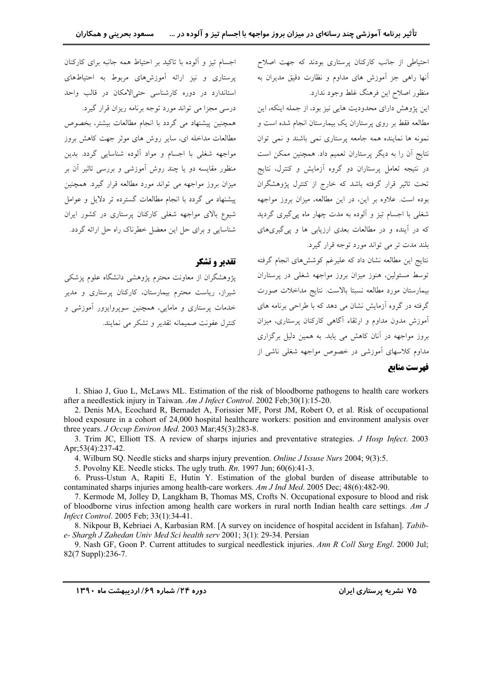احتیاطی از جانب کارکنان پرستاری بودند که جهت اصلاح ۔<br>اُنھا راھی جز اَموزش ھای مداوم و نظارت دقیق مدیران به منظور اصلاح این فرهنگ غلط وجود ندارد.

این پژوهش دارای محدودیت هایی نیز بود، از جمله اینکه، این مطالعه فقط بر روی یرستاران یک بیمارستان انجام شده است و نمونه ها نماینده همه جامعه پرستاری نمی باشند و نمی توان نتایج آن را به دیگر پرستاران تعمیم داد. همچنین ممکن است در نتیجه تعامل پرستاران دو گروه آزمایش و کنترل، نتایج تحت تاثیر قرار گرفته باشد که خارج از کنترل پژوهشگران بوده است. علاوه بر این، در این مطالعه، میزان بروز مواجهه شغلی با اجسام تیز و آلوده به مدت چهار ماه پیگیری گردید که در آینده و در مطالعات بعدی ارزیابی ها و پی گیریهای بلند مدت تر می تواند مورد توجه قرار گیرد.

نتايج اين مطالعه نشان داد كه عليرغم كوشش هاى انجام گرفته توسط مسئولین، هنوز میزان بروز مواجهه شغلی در پرستاران بيمارستان مورد مطالعه نسبتا بالاست. نتايج مداخلات صورت گرفته در گروه آزمایش نشان می دهد که با طراحی برنامه های آموزش مدون مداوم و ارتقاء آگاهی کارکنان پرستاری، میزان بروز مواجهه در آنان کاهش می یابد. به همین دلیل برگزاری .<br>مداوع کلاسهای آموزشی در خصوص مواجهه شغلی ناشی از

اجسام تیز و آلوده با تاکید بر احتیاط همه جانبه برای کارکنان یرستاری و نیز ارائه آموزش های مربوط به احتیاطهای استاندارد در دوره کارشناسی حتی الامکان در قالب واحد درسی مجزا می تواند مورد توجه برنامه ریزان قرار گیرد.

همچنین پیشنهاد می گردد با انجام مطالعات بیشتر، بخصوص مطالعات مداخله ای، سایر روش های موثر جهت کاهش بروز مواجهه شغلی با اجسام و مواد آلوده شناسایی گردد. بدین منظور مقایسه دو یا چند روش آموزشی و بررسی تاثیر آن بر میزان بروز مواجهه می تواند مورد مطالعه قرار گیرد. همچنین پیشنهاد می گردد با انجام مطالعات گسترده تر دلایل و عوامل شیوع بالای مواجهه شغلی کارکنان پرستاری در کشور ایران شناسایی و برای حل این معضل خطرناک راه حل ارائه گردد.

# تقدير وتشكر

یژوهشگران از معاونت محترم یژوهشی دانشگاه علوم یزشکی شیراز، ریاست محترم بیمارستان، کارکنان پرستاری و مدیر خدمات پرستاری و مامایی، همچنین سوپروایزور آموزشی و کنترل عفونت صمیمانه تقدیر و تشکر می نمایند.

1. Shiao J, Guo L, McLaws ML. Estimation of the risk of bloodborne pathogens to health care workers after a needlestick injury in Taiwan. Am J Infect Control. 2002 Feb;30(1):15-20.

2. Denis MA, Ecochard R, Bernadet A, Forissier MF, Porst JM, Robert O, et al. Risk of occupational blood exposure in a cohort of 24,000 hospital healthcare workers: position and environment analysis over three years. J Occup Environ Med. 2003 Mar;45(3):283-8.

3. Trim JC, Elliott TS. A review of sharps injuries and preventative strategies. J Hosp Infect. 2003 Apr;53(4):237-42.

4. Wilburn SQ. Needle sticks and sharps injury prevention. Online J Issuse Nurs 2004; 9(3):5.

5. Povolny KE. Needle sticks. The ugly truth.  $Rn$ . 1997 Jun; 60(6):41-3.

6. Pruss-Ustun A, Rapiti E, Hutin Y. Estimation of the global burden of disease attributable to contaminated sharps injuries among health-care workers. Am J Ind Med. 2005 Dec; 48(6):482-90.

7. Kermode M, Jolley D, Langkham B, Thomas MS, Crofts N. Occupational exposure to blood and risk of bloodborne virus infection among health care workers in rural north Indian health care settings.  $Am\,J$ Infect Control. 2005 Feb: 33(1):34-41.

8. Nikpour B, Kebriaei A, Karbasian RM. [A survey on incidence of hospital accident in Isfahan]. Tabibe- Shargh J Zahedan Univ Med Sci health serv 2001; 3(1): 29-34. Persian

9. Nash GF, Goon P. Current attitudes to surgical needlestick injuries. Ann R Coll Surg Engl. 2000 Jul; 82(7 Suppl):236-7.

فهرست مناتع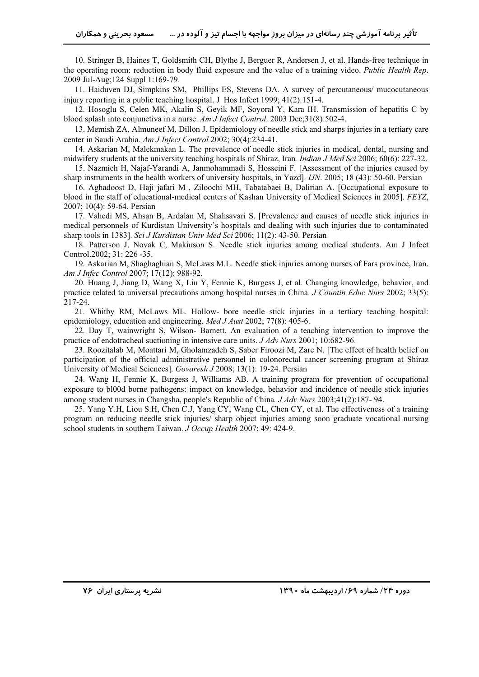10. Stringer B, Haines T, Goldsmith CH, Blythe J, Berguer R, Andersen J, et al. Hands-free technique in the operating room: reduction in body fluid exposure and the value of a training video. *Public Health Rep*. 2009 Jul-Aug;124 Suppl 1:169-79.

11. Haiduven DJ, Simpkins SM, Phillips ES, Stevens DA. A survey of percutaneous/ mucocutaneous injury reporting in a public teaching hospital. J Hos Infect 1999;  $41(2):151-4$ .

12. Hosoglu S, Celen MK, Akalin S, Geyik MF, Soyoral Y, Kara IH. Transmission of hepatitis C by blood splash into conjunctiva in a nurse. *Am J Infect Control*. 2003 Dec;31(8):502-4.

13. Memish ZA, Almuneef M, Dillon J. Epidemiology of needle stick and sharps injuries in a tertiary care center in Saudi Arabia. *Am J Infect Control* 2002; 30(4):234-41.

14. Askarian M, Malekmakan L. The prevalence of needle stick injuries in medical, dental, nursing and midwifery students at the university teaching hospitals of Shiraz, Iran*. Indian J Med Sci* 2006; 60(6): 227-32.

15. Nazmieh H, Najaf-Yarandi A, Janmohammadi S, Hosseini F*.* [Assessment of the injuries caused by sharp instruments in the health workers of university hospitals, in Yazd]. *IJN*. 2005; 18 (43): 50-60. Persian

16. Aghadoost D, Haji jafari M , Ziloochi MH, Tabatabaei B, Dalirian A. [Occupational exposure to blood in the staff of educational-medical centers of Kashan University of Medical Sciences in 2005]. *FEYZ*, 2007; 10(4): 59-64. Persian

17. Vahedi MS, Ahsan B, Ardalan M, Shahsavari S. [Prevalence and causes of needle stick injuries in medical personnels of Kurdistan University's hospitals and dealing with such injuries due to contaminated sharp tools in 1383]. *Sci J Kurdistan Univ Med Sci* 2006; 11(2): 43-50. Persian

18. Patterson J, Novak C, Makinson S. Needle stick injuries among medical students. Am J Infect Control.2002; 31: 226 -35.

19. Askarian M, Shaghaghian S, McLaws M.L. Needle stick injuries among nurses of Fars province, Iran. *Am J Infec Control* 2007; 17(12): 988-92.

20. Huang J, Jiang D, Wang X, Liu Y, Fennie K, Burgess J, et al. Changing knowledge, behavior, and practice related to universal precautions among hospital nurses in China. *J Countin Educ Nurs* 2002; 33(5): 217-24.

21. Whitby RM, McLaws ML. Hollow- bore needle stick injuries in a tertiary teaching hospital: epidemiology, education and engineering. *Med J Aust* 2002; 77(8): 405-6.

22. Day T, wainwright S, Wilson- Barnett. An evaluation of a teaching intervention to improve the practice of endotracheal suctioning in intensive care units. *J Adv Nurs* 2001; 10:682-96.

23. Roozitalab M, Moattari M, Gholamzadeh S, Saber Firoozi M, Zare N. [The effect of health belief on participation of the official administrative personnel in colonorectal cancer screening program at Shiraz University of Medical Sciences]. *Govaresh J* 2008; 13(1): 19-24. Persian

24. Wang H, Fennie K, Burgess J, Williams AB. A training program for prevention of occupational exposure to bl00d borne pathogens: impact on knowledge, behavior and incidence of needle stick injuries among student nurses in Changsha, people's Republic of China. *J Adv Nurs* 2003;41(2):187-94.

25. Yang Y.H, Liou S.H, Chen C.J, Yang CY, Wang CL, Chen CY, et al. The effectiveness of a training program on reducing needle stick injuries/ sharp object injuries among soon graduate vocational nursing school students in southern Taiwan. *J Occup Health* 2007; 49: 424-9.